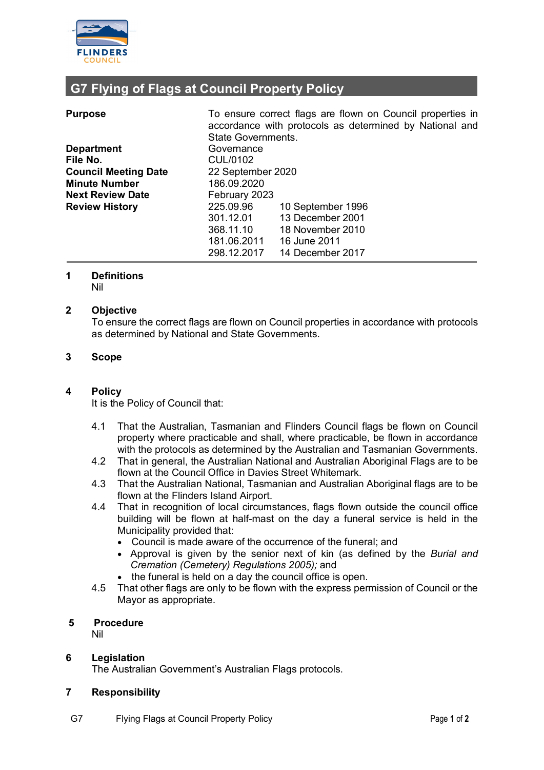

# **G7 Flying of Flags at Council Property Policy**

| <b>Purpose</b>              |                           | To ensure correct flags are flown on Council properties in<br>accordance with protocols as determined by National and |  |
|-----------------------------|---------------------------|-----------------------------------------------------------------------------------------------------------------------|--|
|                             | <b>State Governments.</b> |                                                                                                                       |  |
| <b>Department</b>           | Governance                |                                                                                                                       |  |
| File No.                    | CUL/0102                  |                                                                                                                       |  |
| <b>Council Meeting Date</b> | 22 September 2020         |                                                                                                                       |  |
| <b>Minute Number</b>        | 186.09.2020               |                                                                                                                       |  |
| <b>Next Review Date</b>     |                           | February 2023                                                                                                         |  |
| <b>Review History</b>       | 225.09.96                 | 10 September 1996                                                                                                     |  |
|                             | 301.12.01                 | 13 December 2001                                                                                                      |  |
|                             | 368.11.10                 | 18 November 2010                                                                                                      |  |
|                             | 181.06.2011               | 16 June 2011                                                                                                          |  |
|                             | 298.12.2017               | 14 December 2017                                                                                                      |  |

## **1 Definitions**

Nil

### **2 Objective**

To ensure the correct flags are flown on Council properties in accordance with protocols as determined by National and State Governments.

### **3 Scope**

### **4 Policy**

It is the Policy of Council that:

- 4.1 That the Australian, Tasmanian and Flinders Council flags be flown on Council property where practicable and shall, where practicable, be flown in accordance with the protocols as determined by the Australian and Tasmanian Governments.
- 4.2 That in general, the Australian National and Australian Aboriginal Flags are to be flown at the Council Office in Davies Street Whitemark.
- 4.3 That the Australian National, Tasmanian and Australian Aboriginal flags are to be flown at the Flinders Island Airport.
- 4.4 That in recognition of local circumstances, flags flown outside the council office building will be flown at half-mast on the day a funeral service is held in the Municipality provided that:
	- Council is made aware of the occurrence of the funeral; and
	- Approval is given by the senior next of kin (as defined by the *Burial and Cremation (Cemetery) Regulations 2005);* and
	- the funeral is held on a day the council office is open.
- 4.5 That other flags are only to be flown with the express permission of Council or the Mayor as appropriate.

### **5 Procedure**

Nil

### **6 Legislation**

The Australian Government's Australian Flags protocols.

### **7 Responsibility**